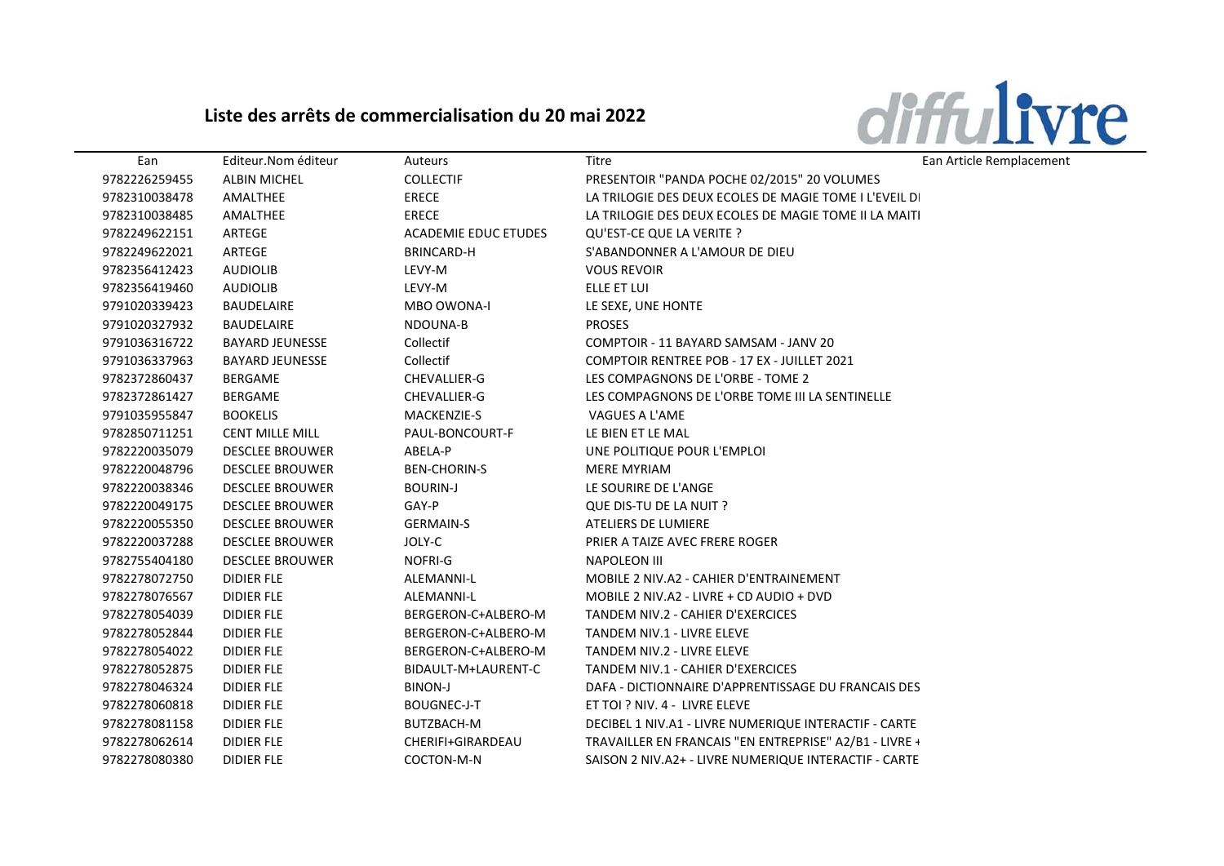## Liste des arrêts de commercialisation du 20 mai 2022



| Ean           | Editeur.Nom éditeur    | Auteurs                     | Titre                                                  | Ean Article Remplacement |
|---------------|------------------------|-----------------------------|--------------------------------------------------------|--------------------------|
| 9782226259455 | <b>ALBIN MICHEL</b>    | <b>COLLECTIF</b>            | PRESENTOIR "PANDA POCHE 02/2015" 20 VOLUMES            |                          |
| 9782310038478 | AMALTHEE               | <b>ERECE</b>                | LA TRILOGIE DES DEUX ECOLES DE MAGIE TOME I L'EVEIL DI |                          |
| 9782310038485 | AMALTHEE               | <b>ERECE</b>                | LA TRILOGIE DES DEUX ECOLES DE MAGIE TOME II LA MAITI  |                          |
| 9782249622151 | ARTEGE                 | <b>ACADEMIE EDUC ETUDES</b> | QU'EST-CE QUE LA VERITE ?                              |                          |
| 9782249622021 | ARTEGE                 | <b>BRINCARD-H</b>           | S'ABANDONNER A L'AMOUR DE DIEU                         |                          |
| 9782356412423 | <b>AUDIOLIB</b>        | LEVY-M                      | <b>VOUS REVOIR</b>                                     |                          |
| 9782356419460 | <b>AUDIOLIB</b>        | LEVY-M                      | ELLE ET LUI                                            |                          |
| 9791020339423 | BAUDELAIRE             | <b>MBO OWONA-I</b>          | LE SEXE, UNE HONTE                                     |                          |
| 9791020327932 | BAUDELAIRE             | NDOUNA-B                    | <b>PROSES</b>                                          |                          |
| 9791036316722 | <b>BAYARD JEUNESSE</b> | Collectif                   | COMPTOIR - 11 BAYARD SAMSAM - JANV 20                  |                          |
| 9791036337963 | <b>BAYARD JEUNESSE</b> | Collectif                   | COMPTOIR RENTREE POB - 17 EX - JUILLET 2021            |                          |
| 9782372860437 | BERGAME                | CHEVALLIER-G                | LES COMPAGNONS DE L'ORBE - TOME 2                      |                          |
| 9782372861427 | BERGAME                | CHEVALLIER-G                | LES COMPAGNONS DE L'ORBE TOME III LA SENTINELLE        |                          |
| 9791035955847 | <b>BOOKELIS</b>        | <b>MACKENZIE-S</b>          | VAGUES A L'AME                                         |                          |
| 9782850711251 | <b>CENT MILLE MILL</b> | PAUL-BONCOURT-F             | LE BIEN ET LE MAL                                      |                          |
| 9782220035079 | <b>DESCLEE BROUWER</b> | ABELA-P                     | UNE POLITIQUE POUR L'EMPLOI                            |                          |
| 9782220048796 | <b>DESCLEE BROUWER</b> | <b>BEN-CHORIN-S</b>         | <b>MERE MYRIAM</b>                                     |                          |
| 9782220038346 | <b>DESCLEE BROUWER</b> | <b>BOURIN-J</b>             | LE SOURIRE DE L'ANGE                                   |                          |
| 9782220049175 | <b>DESCLEE BROUWER</b> | GAY-P                       | QUE DIS-TU DE LA NUIT ?                                |                          |
| 9782220055350 | <b>DESCLEE BROUWER</b> | <b>GERMAIN-S</b>            | ATELIERS DE LUMIERE                                    |                          |
| 9782220037288 | <b>DESCLEE BROUWER</b> | JOLY-C                      | PRIER A TAIZE AVEC FRERE ROGER                         |                          |
| 9782755404180 | <b>DESCLEE BROUWER</b> | NOFRI-G                     | <b>NAPOLEON III</b>                                    |                          |
| 9782278072750 | <b>DIDIER FLE</b>      | <b>ALEMANNI-L</b>           | MOBILE 2 NIV.A2 - CAHIER D'ENTRAINEMENT                |                          |
| 9782278076567 | <b>DIDIER FLE</b>      | ALEMANNI-L                  | MOBILE 2 NIV.A2 - LIVRE + CD AUDIO + DVD               |                          |
| 9782278054039 | <b>DIDIER FLE</b>      | BERGERON-C+ALBERO-M         | TANDEM NIV.2 - CAHIER D'EXERCICES                      |                          |
| 9782278052844 | <b>DIDIER FLE</b>      | BERGERON-C+ALBERO-M         | TANDEM NIV.1 - LIVRE ELEVE                             |                          |
| 9782278054022 | <b>DIDIER FLE</b>      | BERGERON-C+ALBERO-M         | TANDEM NIV.2 - LIVRE ELEVE                             |                          |
| 9782278052875 | <b>DIDIER FLE</b>      | BIDAULT-M+LAURENT-C         | TANDEM NIV.1 - CAHIER D'EXERCICES                      |                          |
| 9782278046324 | DIDIER FLE             | <b>BINON-J</b>              | DAFA - DICTIONNAIRE D'APPRENTISSAGE DU FRANCAIS DES    |                          |
| 9782278060818 | <b>DIDIER FLE</b>      | <b>BOUGNEC-J-T</b>          | ET TOI ? NIV. 4 - LIVRE ELEVE                          |                          |
| 9782278081158 | <b>DIDIER FLE</b>      | BUTZBACH-M                  | DECIBEL 1 NIV.A1 - LIVRE NUMERIQUE INTERACTIF - CARTE  |                          |
| 9782278062614 | <b>DIDIER FLE</b>      | CHERIFI+GIRARDEAU           | TRAVAILLER EN FRANCAIS "EN ENTREPRISE" A2/B1 - LIVRE + |                          |
| 9782278080380 | <b>DIDIER FLE</b>      | COCTON-M-N                  | SAISON 2 NIV.A2+ - LIVRE NUMERIQUE INTERACTIF - CARTE  |                          |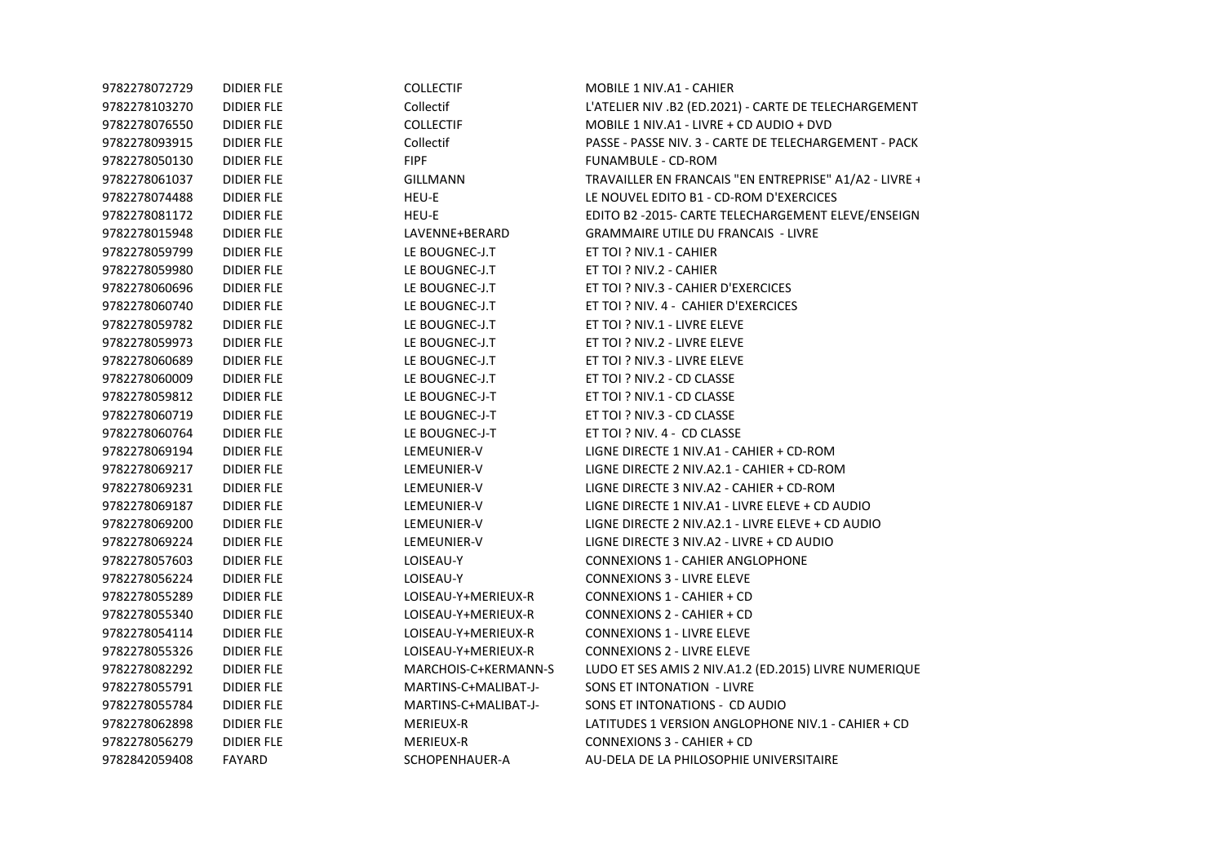| DIDIER FLE        | <b>COLLECTIF</b>     | MOBILE 1 NIV.A1 - CAHIER                               |
|-------------------|----------------------|--------------------------------------------------------|
| DIDIER FLE        | Collectif            | L'ATELIER NIV .B2 (ED.2021) - CARTE DE TELECHARGEMENT  |
| <b>DIDIER FLE</b> | <b>COLLECTIF</b>     | MOBILE 1 NIV.A1 - LIVRE + CD AUDIO + DVD               |
| DIDIER FLE        | Collectif            | PASSE - PASSE NIV. 3 - CARTE DE TELECHARGEMENT - PACK  |
| DIDIER FLE        | <b>FIPF</b>          | FUNAMBULE - CD-ROM                                     |
| <b>DIDIER FLE</b> | <b>GILLMANN</b>      | TRAVAILLER EN FRANCAIS "EN ENTREPRISE" A1/A2 - LIVRE + |
| DIDIER FLE        | HEU-E                | LE NOUVEL EDITO B1 - CD-ROM D'EXERCICES                |
| DIDIER FLE        | HEU-E                | EDITO B2 -2015- CARTE TELECHARGEMENT ELEVE/ENSEIGN     |
| <b>DIDIER FLE</b> | LAVENNE+BERARD       | <b>GRAMMAIRE UTILE DU FRANCAIS - LIVRE</b>             |
| DIDIER FLE        | LE BOUGNEC-J.T       | ET TOI ? NIV.1 - CAHIER                                |
| DIDIER FLE        | LE BOUGNEC-J.T       | ET TOI ? NIV.2 - CAHIER                                |
| <b>DIDIER FLE</b> | LE BOUGNEC-J.T       | ET TOI ? NIV.3 - CAHIER D'EXERCICES                    |
| <b>DIDIER FLE</b> | LE BOUGNEC-J.T       | ET TOI ? NIV. 4 - CAHIER D'EXERCICES                   |
| DIDIER FLE        | LE BOUGNEC-J.T       | ET TOI ? NIV.1 - LIVRE ELEVE                           |
| DIDIER FLE        | LE BOUGNEC-J.T       | ET TOI ? NIV.2 - LIVRE ELEVE                           |
| <b>DIDIER FLE</b> | LE BOUGNEC-J.T       | ET TOI ? NIV.3 - LIVRE ELEVE                           |
| DIDIER FLE        | LE BOUGNEC-J.T       | ET TOI ? NIV.2 - CD CLASSE                             |
| DIDIER FLE        | LE BOUGNEC-J-T       | ET TOI ? NIV.1 - CD CLASSE                             |
| <b>DIDIER FLE</b> | LE BOUGNEC-J-T       | ET TOI ? NIV.3 - CD CLASSE                             |
| <b>DIDIER FLE</b> | LE BOUGNEC-J-T       | ET TOI ? NIV. 4 - CD CLASSE                            |
| DIDIER FLE        | LEMEUNIER-V          | LIGNE DIRECTE 1 NIV.A1 - CAHIER + CD-ROM               |
| <b>DIDIER FLE</b> | LEMEUNIER-V          | LIGNE DIRECTE 2 NIV.A2.1 - CAHIER + CD-ROM             |
| <b>DIDIER FLE</b> | LEMEUNIER-V          | LIGNE DIRECTE 3 NIV.A2 - CAHIER + CD-ROM               |
| DIDIER FLE        | LEMEUNIER-V          | LIGNE DIRECTE 1 NIV.A1 - LIVRE ELEVE + CD AUDIO        |
| <b>DIDIER FLE</b> | LEMEUNIER-V          | LIGNE DIRECTE 2 NIV.A2.1 - LIVRE ELEVE + CD AUDIO      |
| DIDIER FLE        | LEMEUNIER-V          | LIGNE DIRECTE 3 NIV.A2 - LIVRE + CD AUDIO              |
| DIDIER FLE        | LOISEAU-Y            | <b>CONNEXIONS 1 - CAHIER ANGLOPHONE</b>                |
| <b>DIDIER FLE</b> | LOISEAU-Y            | <b>CONNEXIONS 3 - LIVRE ELEVE</b>                      |
| DIDIER FLE        | LOISEAU-Y+MERIEUX-R  | CONNEXIONS 1 - CAHIER + CD                             |
| DIDIER FLE        | LOISEAU-Y+MERIEUX-R  | CONNEXIONS 2 - CAHIER + CD                             |
| <b>DIDIER FLE</b> | LOISEAU-Y+MERIEUX-R  | <b>CONNEXIONS 1 - LIVRE ELEVE</b>                      |
| <b>DIDIER FLE</b> | LOISEAU-Y+MERIEUX-R  | <b>CONNEXIONS 2 - LIVRE ELEVE</b>                      |
| DIDIER FLE        | MARCHOIS-C+KERMANN-S | LUDO ET SES AMIS 2 NIV.A1.2 (ED.2015) LIVRE NUMERIQUE  |
| DIDIER FLE        | MARTINS-C+MALIBAT-J- | SONS ET INTONATION - LIVRE                             |
| DIDIER FLE        | MARTINS-C+MALIBAT-J- | SONS ET INTONATIONS - CD AUDIO                         |
| DIDIER FLE        | MERIEUX-R            | LATITUDES 1 VERSION ANGLOPHONE NIV.1 - CAHIER + CD     |
| DIDIER FLE        | MERIEUX-R            | CONNEXIONS 3 - CAHIER + CD                             |
| <b>FAYARD</b>     | SCHOPENHAUER-A       | AU-DELA DE LA PHILOSOPHIE UNIVERSITAIRE                |
|                   |                      |                                                        |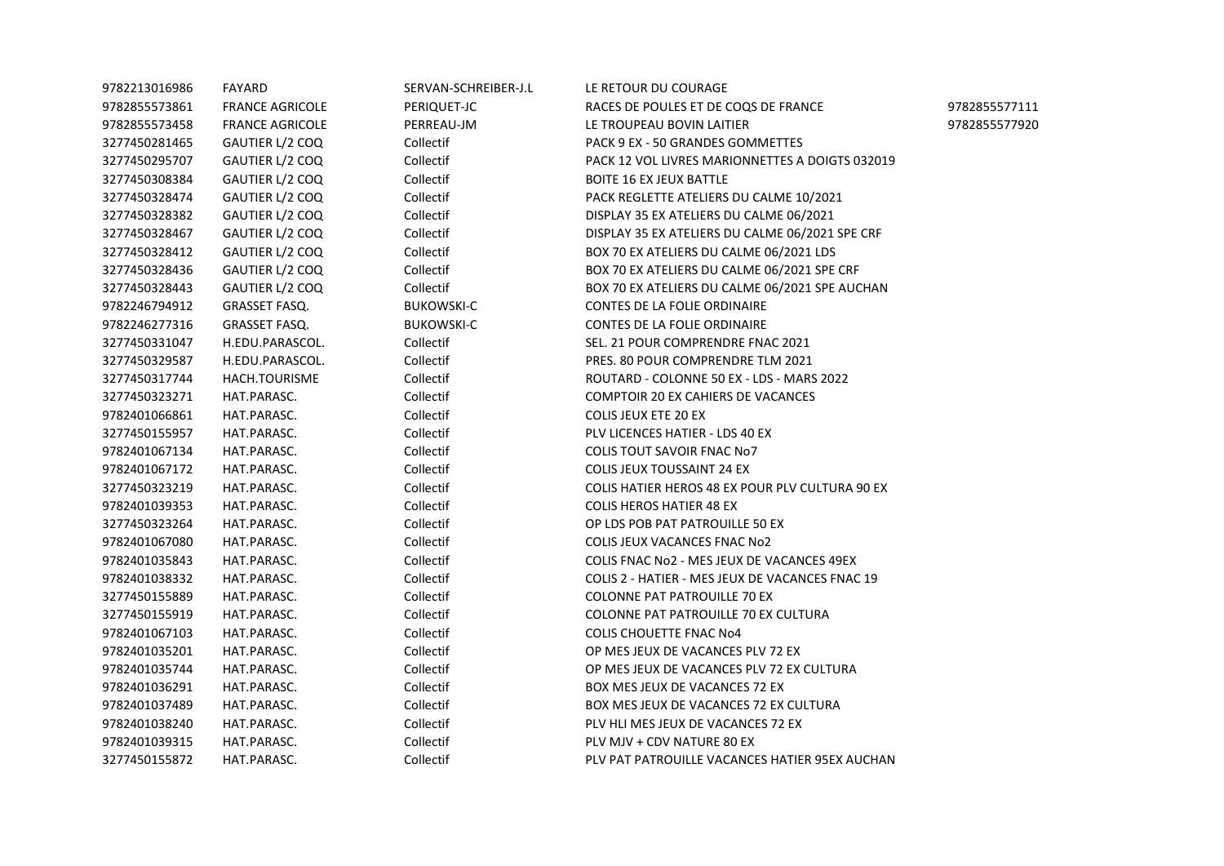| 9782213016986 | FAYARD                 | SERVAN-SCHREIBER-J.L | LE RETOUR DU COURAGE                            |               |
|---------------|------------------------|----------------------|-------------------------------------------------|---------------|
| 9782855573861 | <b>FRANCE AGRICOLE</b> | PERIQUET-JC          | RACES DE POULES ET DE COQS DE FRANCE            | 9782855577111 |
| 9782855573458 | <b>FRANCE AGRICOLE</b> | PERREAU-JM           | LE TROUPEAU BOVIN LAITIER                       | 9782855577920 |
| 3277450281465 | GAUTIER L/2 COQ        | Collectif            | PACK 9 EX - 50 GRANDES GOMMETTES                |               |
| 3277450295707 | GAUTIER L/2 COQ        | Collectif            | PACK 12 VOL LIVRES MARIONNETTES A DOIGTS 032019 |               |
| 3277450308384 | GAUTIER L/2 COQ        | Collectif            | <b>BOITE 16 EX JEUX BATTLE</b>                  |               |
| 3277450328474 | GAUTIER L/2 COQ        | Collectif            | PACK REGLETTE ATELIERS DU CALME 10/2021         |               |
| 3277450328382 | GAUTIER L/2 COQ        | Collectif            | DISPLAY 35 EX ATELIERS DU CALME 06/2021         |               |
| 3277450328467 | GAUTIER L/2 COQ        | Collectif            | DISPLAY 35 EX ATELIERS DU CALME 06/2021 SPE CRF |               |
| 3277450328412 | GAUTIER L/2 COQ        | Collectif            | BOX 70 EX ATELIERS DU CALME 06/2021 LDS         |               |
| 3277450328436 | GAUTIER L/2 COQ        | Collectif            | BOX 70 EX ATELIERS DU CALME 06/2021 SPE CRF     |               |
| 3277450328443 | GAUTIER L/2 COQ        | Collectif            | BOX 70 EX ATELIERS DU CALME 06/2021 SPE AUCHAN  |               |
| 9782246794912 | GRASSET FASQ.          | <b>BUKOWSKI-C</b>    | CONTES DE LA FOLIE ORDINAIRE                    |               |
| 9782246277316 | <b>GRASSET FASQ.</b>   | <b>BUKOWSKI-C</b>    | CONTES DE LA FOLIE ORDINAIRE                    |               |
| 3277450331047 | H.EDU.PARASCOL.        | Collectif            | SEL. 21 POUR COMPRENDRE FNAC 2021               |               |
| 3277450329587 | H.EDU.PARASCOL.        | Collectif            | PRES. 80 POUR COMPRENDRE TLM 2021               |               |
| 3277450317744 | HACH.TOURISME          | Collectif            | ROUTARD - COLONNE 50 EX - LDS - MARS 2022       |               |
| 3277450323271 | HAT.PARASC.            | Collectif            | COMPTOIR 20 EX CAHIERS DE VACANCES              |               |
| 9782401066861 | HAT.PARASC.            | Collectif            | <b>COLIS JEUX ETE 20 EX</b>                     |               |
| 3277450155957 | HAT.PARASC.            | Collectif            | PLV LICENCES HATIER - LDS 40 EX                 |               |
| 9782401067134 | HAT.PARASC.            | Collectif            | <b>COLIS TOUT SAVOIR FNAC No7</b>               |               |
| 9782401067172 | HAT.PARASC.            | Collectif            | <b>COLIS JEUX TOUSSAINT 24 EX</b>               |               |
| 3277450323219 | HAT.PARASC.            | Collectif            | COLIS HATIER HEROS 48 EX POUR PLV CULTURA 90 EX |               |
| 9782401039353 | HAT.PARASC.            | Collectif            | <b>COLIS HEROS HATIER 48 EX</b>                 |               |
| 3277450323264 | HAT.PARASC.            | Collectif            | OP LDS POB PAT PATROUILLE 50 EX                 |               |
| 9782401067080 | HAT.PARASC.            | Collectif            | <b>COLIS JEUX VACANCES FNAC No2</b>             |               |
| 9782401035843 | HAT.PARASC.            | Collectif            | COLIS FNAC No2 - MES JEUX DE VACANCES 49EX      |               |
| 9782401038332 | HAT.PARASC.            | Collectif            | COLIS 2 - HATIER - MES JEUX DE VACANCES FNAC 19 |               |
| 3277450155889 | HAT.PARASC.            | Collectif            | <b>COLONNE PAT PATROUILLE 70 EX</b>             |               |
| 3277450155919 | HAT.PARASC.            | Collectif            | COLONNE PAT PATROUILLE 70 EX CULTURA            |               |
| 9782401067103 | HAT.PARASC.            | Collectif            | <b>COLIS CHOUETTE FNAC No4</b>                  |               |
| 9782401035201 | HAT.PARASC.            | Collectif            | OP MES JEUX DE VACANCES PLV 72 EX               |               |
| 9782401035744 | HAT.PARASC.            | Collectif            | OP MES JEUX DE VACANCES PLV 72 EX CULTURA       |               |
| 9782401036291 | HAT.PARASC.            | Collectif            | BOX MES JEUX DE VACANCES 72 EX                  |               |
| 9782401037489 | HAT.PARASC.            | Collectif            | BOX MES JEUX DE VACANCES 72 EX CULTURA          |               |
| 9782401038240 | HAT.PARASC.            | Collectif            | PLV HLI MES JEUX DE VACANCES 72 EX              |               |
| 9782401039315 | HAT.PARASC.            | Collectif            | PLV MJV + CDV NATURE 80 EX                      |               |
| 3277450155872 | HAT.PARASC.            | Collectif            | PLV PAT PATROUILLE VACANCES HATIER 95EX AUCHAN  |               |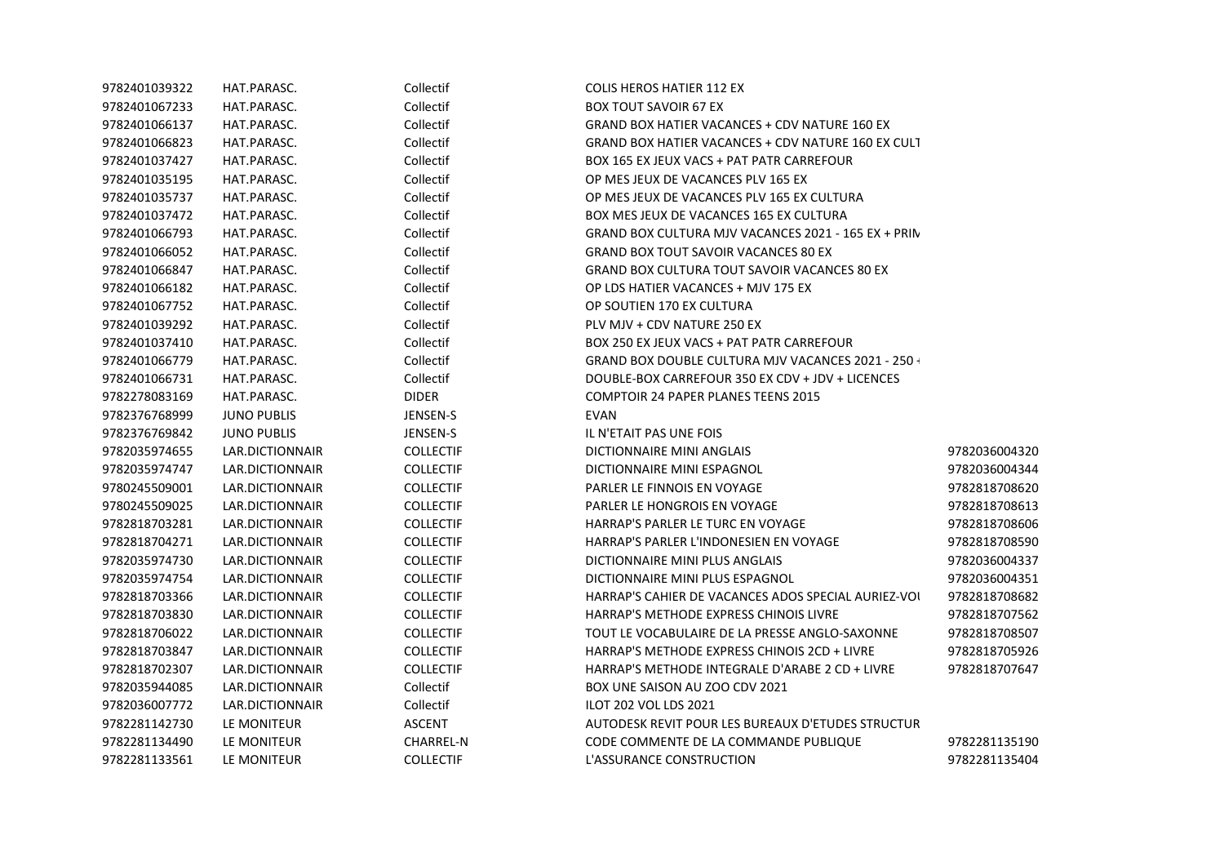| 9782401039322 | HAT.PARASC.        | Collectif        | <b>COLIS HEROS HATIER 112 EX</b>                          |               |
|---------------|--------------------|------------------|-----------------------------------------------------------|---------------|
| 9782401067233 | HAT.PARASC.        | Collectif        | <b>BOX TOUT SAVOIR 67 EX</b>                              |               |
| 9782401066137 | HAT.PARASC.        | Collectif        | GRAND BOX HATIER VACANCES + CDV NATURE 160 EX             |               |
| 9782401066823 | HAT.PARASC.        | Collectif        | GRAND BOX HATIER VACANCES + CDV NATURE 160 EX CULT        |               |
| 9782401037427 | HAT.PARASC.        | Collectif        | BOX 165 EX JEUX VACS + PAT PATR CARREFOUR                 |               |
| 9782401035195 | HAT.PARASC.        | Collectif        | OP MES JEUX DE VACANCES PLV 165 EX                        |               |
| 9782401035737 | HAT.PARASC.        | Collectif        | OP MES JEUX DE VACANCES PLV 165 EX CULTURA                |               |
| 9782401037472 | HAT.PARASC.        | Collectif        | BOX MES JEUX DE VACANCES 165 EX CULTURA                   |               |
| 9782401066793 | HAT.PARASC.        | Collectif        | GRAND BOX CULTURA MJV VACANCES 2021 - 165 EX + PRIN       |               |
| 9782401066052 | HAT.PARASC.        | Collectif        | <b>GRAND BOX TOUT SAVOIR VACANCES 80 EX</b>               |               |
| 9782401066847 | HAT.PARASC.        | Collectif        | GRAND BOX CULTURA TOUT SAVOIR VACANCES 80 EX              |               |
| 9782401066182 | HAT.PARASC.        | Collectif        | OP LDS HATIER VACANCES + MJV 175 EX                       |               |
| 9782401067752 | HAT.PARASC.        | Collectif        | OP SOUTIEN 170 EX CULTURA                                 |               |
| 9782401039292 | HAT.PARASC.        | Collectif        | PLV MJV + CDV NATURE 250 EX                               |               |
| 9782401037410 | HAT.PARASC.        | Collectif        | BOX 250 EX JEUX VACS + PAT PATR CARREFOUR                 |               |
| 9782401066779 | HAT.PARASC.        | Collectif        | <b>GRAND BOX DOUBLE CULTURA MJV VACANCES 2021 - 250 -</b> |               |
| 9782401066731 | HAT.PARASC.        | Collectif        | DOUBLE-BOX CARREFOUR 350 EX CDV + JDV + LICENCES          |               |
| 9782278083169 | HAT.PARASC.        | <b>DIDER</b>     | <b>COMPTOIR 24 PAPER PLANES TEENS 2015</b>                |               |
| 9782376768999 | <b>JUNO PUBLIS</b> | JENSEN-S         | EVAN                                                      |               |
| 9782376769842 | <b>JUNO PUBLIS</b> | JENSEN-S         | IL N'ETAIT PAS UNE FOIS                                   |               |
| 9782035974655 | LAR.DICTIONNAIR    | <b>COLLECTIF</b> | DICTIONNAIRE MINI ANGLAIS                                 | 9782036004320 |
| 9782035974747 | LAR.DICTIONNAIR    | <b>COLLECTIF</b> | DICTIONNAIRE MINI ESPAGNOL                                | 9782036004344 |
| 9780245509001 | LAR.DICTIONNAIR    | <b>COLLECTIF</b> | PARLER LE FINNOIS EN VOYAGE                               | 9782818708620 |
| 9780245509025 | LAR.DICTIONNAIR    | <b>COLLECTIF</b> | PARLER LE HONGROIS EN VOYAGE                              | 9782818708613 |
| 9782818703281 | LAR.DICTIONNAIR    | <b>COLLECTIF</b> | HARRAP'S PARLER LE TURC EN VOYAGE                         | 9782818708606 |
| 9782818704271 | LAR.DICTIONNAIR    | <b>COLLECTIF</b> | HARRAP'S PARLER L'INDONESIEN EN VOYAGE                    | 9782818708590 |
| 9782035974730 | LAR.DICTIONNAIR    | <b>COLLECTIF</b> | DICTIONNAIRE MINI PLUS ANGLAIS                            | 9782036004337 |
| 9782035974754 | LAR.DICTIONNAIR    | <b>COLLECTIF</b> | DICTIONNAIRE MINI PLUS ESPAGNOL                           | 9782036004351 |
| 9782818703366 | LAR.DICTIONNAIR    | <b>COLLECTIF</b> | HARRAP'S CAHIER DE VACANCES ADOS SPECIAL AURIEZ-VOI       | 9782818708682 |
| 9782818703830 | LAR.DICTIONNAIR    | <b>COLLECTIF</b> | HARRAP'S METHODE EXPRESS CHINOIS LIVRE                    | 9782818707562 |
| 9782818706022 | LAR.DICTIONNAIR    | <b>COLLECTIF</b> | TOUT LE VOCABULAIRE DE LA PRESSE ANGLO-SAXONNE            | 9782818708507 |
| 9782818703847 | LAR.DICTIONNAIR    | <b>COLLECTIF</b> | HARRAP'S METHODE EXPRESS CHINOIS 2CD + LIVRE              | 9782818705926 |
| 9782818702307 | LAR.DICTIONNAIR    | <b>COLLECTIF</b> | HARRAP'S METHODE INTEGRALE D'ARABE 2 CD + LIVRE           | 9782818707647 |
| 9782035944085 | LAR.DICTIONNAIR    | Collectif        | BOX UNE SAISON AU ZOO CDV 2021                            |               |
| 9782036007772 | LAR.DICTIONNAIR    | Collectif        | <b>ILOT 202 VOL LDS 2021</b>                              |               |
| 9782281142730 | LE MONITEUR        | <b>ASCENT</b>    | AUTODESK REVIT POUR LES BUREAUX D'ETUDES STRUCTUR         |               |
| 9782281134490 | LE MONITEUR        | <b>CHARREL-N</b> | CODE COMMENTE DE LA COMMANDE PUBLIQUE                     | 9782281135190 |
| 9782281133561 | LE MONITEUR        | <b>COLLECTIF</b> | L'ASSURANCE CONSTRUCTION                                  | 9782281135404 |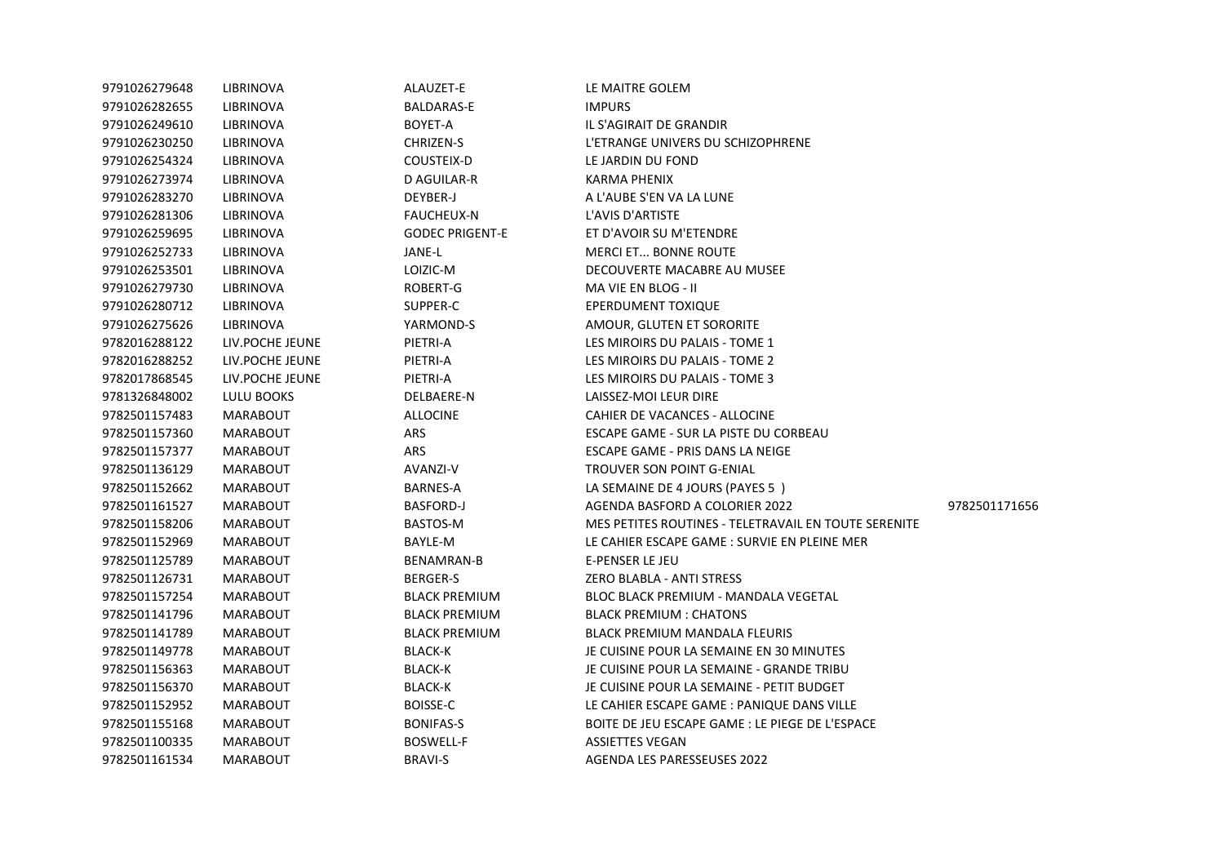| 9791026279648 | LIBRINOVA        | ALAUZET-E              | LE MAITRE GOLEM                                      |               |
|---------------|------------------|------------------------|------------------------------------------------------|---------------|
| 9791026282655 | LIBRINOVA        | BALDARAS-E             | <b>IMPURS</b>                                        |               |
| 9791026249610 | LIBRINOVA        | BOYET-A                | IL S'AGIRAIT DE GRANDIR                              |               |
| 9791026230250 | LIBRINOVA        | CHRIZEN-S              | L'ETRANGE UNIVERS DU SCHIZOPHRENE                    |               |
| 9791026254324 | LIBRINOVA        | COUSTEIX-D             | LE JARDIN DU FOND                                    |               |
| 9791026273974 | LIBRINOVA        | D AGUILAR-R            | KARMA PHENIX                                         |               |
| 9791026283270 | <b>LIBRINOVA</b> | DEYBER-J               | A L'AUBE S'EN VA LA LUNE                             |               |
| 9791026281306 | LIBRINOVA        | <b>FAUCHEUX-N</b>      | L'AVIS D'ARTISTE                                     |               |
| 9791026259695 | LIBRINOVA        | <b>GODEC PRIGENT-E</b> | ET D'AVOIR SU M'ETENDRE                              |               |
| 9791026252733 | LIBRINOVA        | JANE-L                 | <b>MERCI ET BONNE ROUTE</b>                          |               |
| 9791026253501 | LIBRINOVA        | LOIZIC-M               | DECOUVERTE MACABRE AU MUSEE                          |               |
| 9791026279730 | LIBRINOVA        | ROBERT-G               | MA VIE EN BLOG - II                                  |               |
| 9791026280712 | LIBRINOVA        | SUPPER-C               | EPERDUMENT TOXIQUE                                   |               |
| 9791026275626 | LIBRINOVA        | YARMOND-S              | AMOUR, GLUTEN ET SORORITE                            |               |
| 9782016288122 | LIV.POCHE JEUNE  | PIETRI-A               | LES MIROIRS DU PALAIS - TOME 1                       |               |
| 9782016288252 | LIV.POCHE JEUNE  | PIETRI-A               | LES MIROIRS DU PALAIS - TOME 2                       |               |
| 9782017868545 | LIV.POCHE JEUNE  | PIETRI-A               | LES MIROIRS DU PALAIS - TOME 3                       |               |
| 9781326848002 | LULU BOOKS       | DELBAERE-N             | LAISSEZ-MOI LEUR DIRE                                |               |
| 9782501157483 | <b>MARABOUT</b>  | <b>ALLOCINE</b>        | CAHIER DE VACANCES - ALLOCINE                        |               |
| 9782501157360 | <b>MARABOUT</b>  | ARS                    | ESCAPE GAME - SUR LA PISTE DU CORBEAU                |               |
| 9782501157377 | MARABOUT         | ARS                    | ESCAPE GAME - PRIS DANS LA NEIGE                     |               |
| 9782501136129 | <b>MARABOUT</b>  | AVANZI-V               | TROUVER SON POINT G-ENIAL                            |               |
| 9782501152662 | MARABOUT         | BARNES-A               | LA SEMAINE DE 4 JOURS (PAYES 5)                      |               |
| 9782501161527 | <b>MARABOUT</b>  | <b>BASFORD-J</b>       | AGENDA BASFORD A COLORIER 2022                       | 9782501171656 |
| 9782501158206 | <b>MARABOUT</b>  | BASTOS-M               | MES PETITES ROUTINES - TELETRAVAIL EN TOUTE SERENITE |               |
| 9782501152969 | <b>MARABOUT</b>  | BAYLE-M                | LE CAHIER ESCAPE GAME : SURVIE EN PLEINE MER         |               |
| 9782501125789 | <b>MARABOUT</b>  | BENAMRAN-B             | E-PENSER LE JEU                                      |               |
| 9782501126731 | <b>MARABOUT</b>  | BERGER-S               | ZERO BLABLA - ANTI STRESS                            |               |
| 9782501157254 | <b>MARABOUT</b>  | <b>BLACK PREMIUM</b>   | BLOC BLACK PREMIUM - MANDALA VEGETAL                 |               |
| 9782501141796 | MARABOUT         | <b>BLACK PREMIUM</b>   | <b>BLACK PREMIUM: CHATONS</b>                        |               |
| 9782501141789 | MARABOUT         | <b>BLACK PREMIUM</b>   | BLACK PREMIUM MANDALA FLEURIS                        |               |
| 9782501149778 | <b>MARABOUT</b>  | <b>BLACK-K</b>         | JE CUISINE POUR LA SEMAINE EN 30 MINUTES             |               |
| 9782501156363 | <b>MARABOUT</b>  | <b>BLACK-K</b>         | JE CUISINE POUR LA SEMAINE - GRANDE TRIBU            |               |
| 9782501156370 | MARABOUT         | BLACK-K                | JE CUISINE POUR LA SEMAINE - PETIT BUDGET            |               |
| 9782501152952 | <b>MARABOUT</b>  | BOISSE-C               | LE CAHIER ESCAPE GAME : PANIQUE DANS VILLE           |               |
| 9782501155168 | <b>MARABOUT</b>  | <b>BONIFAS-S</b>       | BOITE DE JEU ESCAPE GAME : LE PIEGE DE L'ESPACE      |               |
| 9782501100335 | <b>MARABOUT</b>  | <b>BOSWELL-F</b>       | ASSIETTES VEGAN                                      |               |
| 9782501161534 | <b>MARABOUT</b>  | <b>BRAVI-S</b>         | AGENDA LES PARESSEUSES 2022                          |               |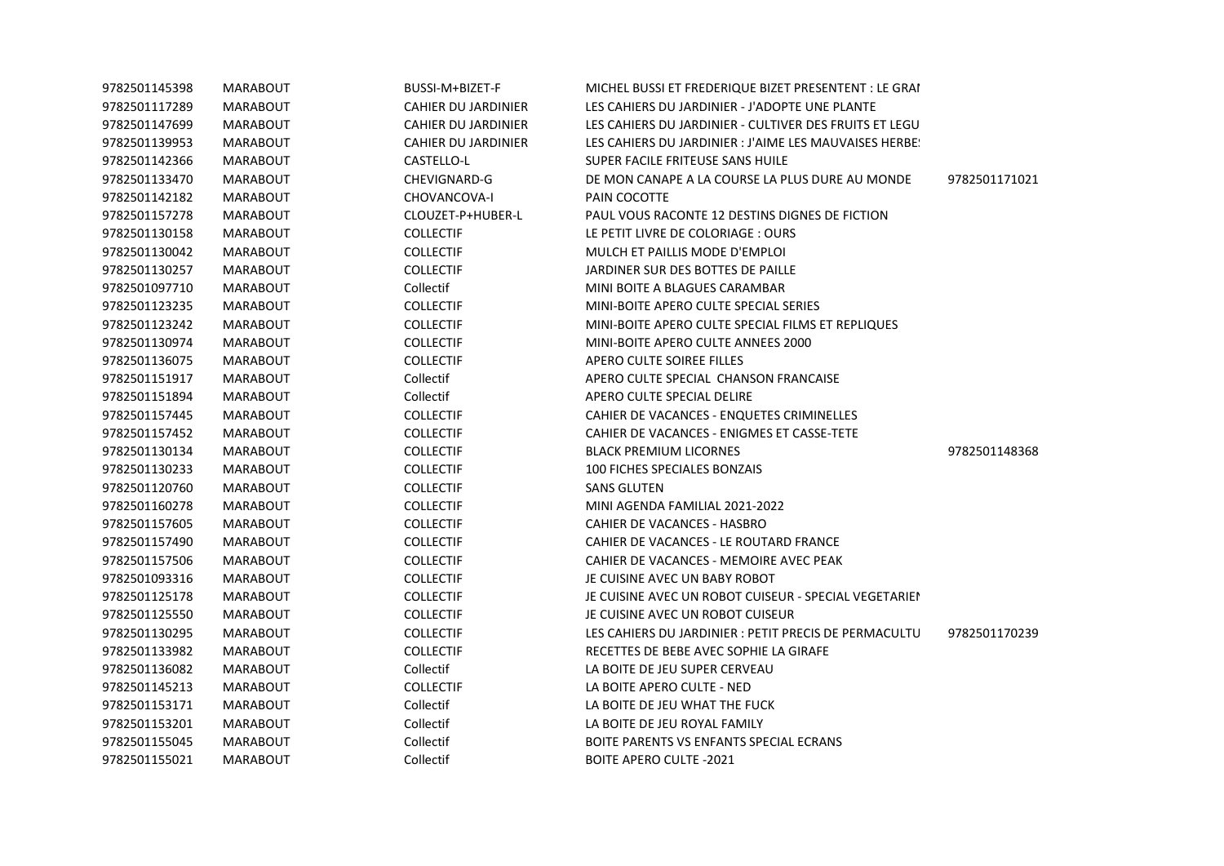| 9782501145398 | <b>MARABOUT</b> | BUSSI-M+BIZET-F     | MICHEL BUSSI ET FREDERIQUE BIZET PRESENTENT : LE GRAI  |               |
|---------------|-----------------|---------------------|--------------------------------------------------------|---------------|
| 9782501117289 | MARABOUT        | CAHIER DU JARDINIER | LES CAHIERS DU JARDINIER - J'ADOPTE UNE PLANTE         |               |
| 9782501147699 | MARABOUT        | CAHIER DU JARDINIER | LES CAHIERS DU JARDINIER - CULTIVER DES FRUITS ET LEGU |               |
| 9782501139953 | <b>MARABOUT</b> | CAHIER DU JARDINIER | LES CAHIERS DU JARDINIER : J'AIME LES MAUVAISES HERBE! |               |
| 9782501142366 | <b>MARABOUT</b> | CASTELLO-L          | SUPER FACILE FRITEUSE SANS HUILE                       |               |
| 9782501133470 | MARABOUT        | CHEVIGNARD-G        | DE MON CANAPE A LA COURSE LA PLUS DURE AU MONDE        | 9782501171021 |
| 9782501142182 | MARABOUT        | CHOVANCOVA-I        | PAIN COCOTTE                                           |               |
| 9782501157278 | MARABOUT        | CLOUZET-P+HUBER-L   | PAUL VOUS RACONTE 12 DESTINS DIGNES DE FICTION         |               |
| 9782501130158 | MARABOUT        | <b>COLLECTIF</b>    | LE PETIT LIVRE DE COLORIAGE : OURS                     |               |
| 9782501130042 | MARABOUT        | <b>COLLECTIF</b>    | MULCH ET PAILLIS MODE D'EMPLOI                         |               |
| 9782501130257 | MARABOUT        | <b>COLLECTIF</b>    | JARDINER SUR DES BOTTES DE PAILLE                      |               |
| 9782501097710 | <b>MARABOUT</b> | Collectif           | MINI BOITE A BLAGUES CARAMBAR                          |               |
| 9782501123235 | MARABOUT        | <b>COLLECTIF</b>    | MINI-BOITE APERO CULTE SPECIAL SERIES                  |               |
| 9782501123242 | <b>MARABOUT</b> | <b>COLLECTIF</b>    | MINI-BOITE APERO CULTE SPECIAL FILMS ET REPLIQUES      |               |
| 9782501130974 | <b>MARABOUT</b> | <b>COLLECTIF</b>    | MINI-BOITE APERO CULTE ANNEES 2000                     |               |
| 9782501136075 | MARABOUT        | <b>COLLECTIF</b>    | APERO CULTE SOIREE FILLES                              |               |
| 9782501151917 | <b>MARABOUT</b> | Collectif           | APERO CULTE SPECIAL CHANSON FRANCAISE                  |               |
| 9782501151894 | <b>MARABOUT</b> | Collectif           | APERO CULTE SPECIAL DELIRE                             |               |
| 9782501157445 | MARABOUT        | <b>COLLECTIF</b>    | CAHIER DE VACANCES - ENQUETES CRIMINELLES              |               |
| 9782501157452 | <b>MARABOUT</b> | <b>COLLECTIF</b>    | CAHIER DE VACANCES - ENIGMES ET CASSE-TETE             |               |
| 9782501130134 | MARABOUT        | <b>COLLECTIF</b>    | <b>BLACK PREMIUM LICORNES</b>                          | 9782501148368 |
| 9782501130233 | MARABOUT        | <b>COLLECTIF</b>    | 100 FICHES SPECIALES BONZAIS                           |               |
| 9782501120760 | <b>MARABOUT</b> | <b>COLLECTIF</b>    | SANS GLUTEN                                            |               |
| 9782501160278 | <b>MARABOUT</b> | <b>COLLECTIF</b>    | MINI AGENDA FAMILIAL 2021-2022                         |               |
| 9782501157605 | <b>MARABOUT</b> | <b>COLLECTIF</b>    | CAHIER DE VACANCES - HASBRO                            |               |
| 9782501157490 | MARABOUT        | <b>COLLECTIF</b>    | CAHIER DE VACANCES - LE ROUTARD FRANCE                 |               |
| 9782501157506 | MARABOUT        | <b>COLLECTIF</b>    | CAHIER DE VACANCES - MEMOIRE AVEC PEAK                 |               |
| 9782501093316 | <b>MARABOUT</b> | <b>COLLECTIF</b>    | JE CUISINE AVEC UN BABY ROBOT                          |               |
| 9782501125178 | <b>MARABOUT</b> | <b>COLLECTIF</b>    | JE CUISINE AVEC UN ROBOT CUISEUR - SPECIAL VEGETARIEN  |               |
| 9782501125550 | MARABOUT        | <b>COLLECTIF</b>    | JE CUISINE AVEC UN ROBOT CUISEUR                       |               |
| 9782501130295 | <b>MARABOUT</b> | <b>COLLECTIF</b>    | LES CAHIERS DU JARDINIER : PETIT PRECIS DE PERMACULTU  | 9782501170239 |
| 9782501133982 | <b>MARABOUT</b> | <b>COLLECTIF</b>    | RECETTES DE BEBE AVEC SOPHIE LA GIRAFE                 |               |
| 9782501136082 | <b>MARABOUT</b> | Collectif           | LA BOITE DE JEU SUPER CERVEAU                          |               |
| 9782501145213 | <b>MARABOUT</b> | <b>COLLECTIF</b>    | LA BOITE APERO CULTE - NED                             |               |
| 9782501153171 | MARABOUT        | Collectif           | LA BOITE DE JEU WHAT THE FUCK                          |               |
| 9782501153201 | <b>MARABOUT</b> | Collectif           | LA BOITE DE JEU ROYAL FAMILY                           |               |
| 9782501155045 | <b>MARABOUT</b> | Collectif           | BOITE PARENTS VS ENFANTS SPECIAL ECRANS                |               |
| 9782501155021 | <b>MARABOUT</b> | Collectif           | <b>BOITE APERO CULTE -2021</b>                         |               |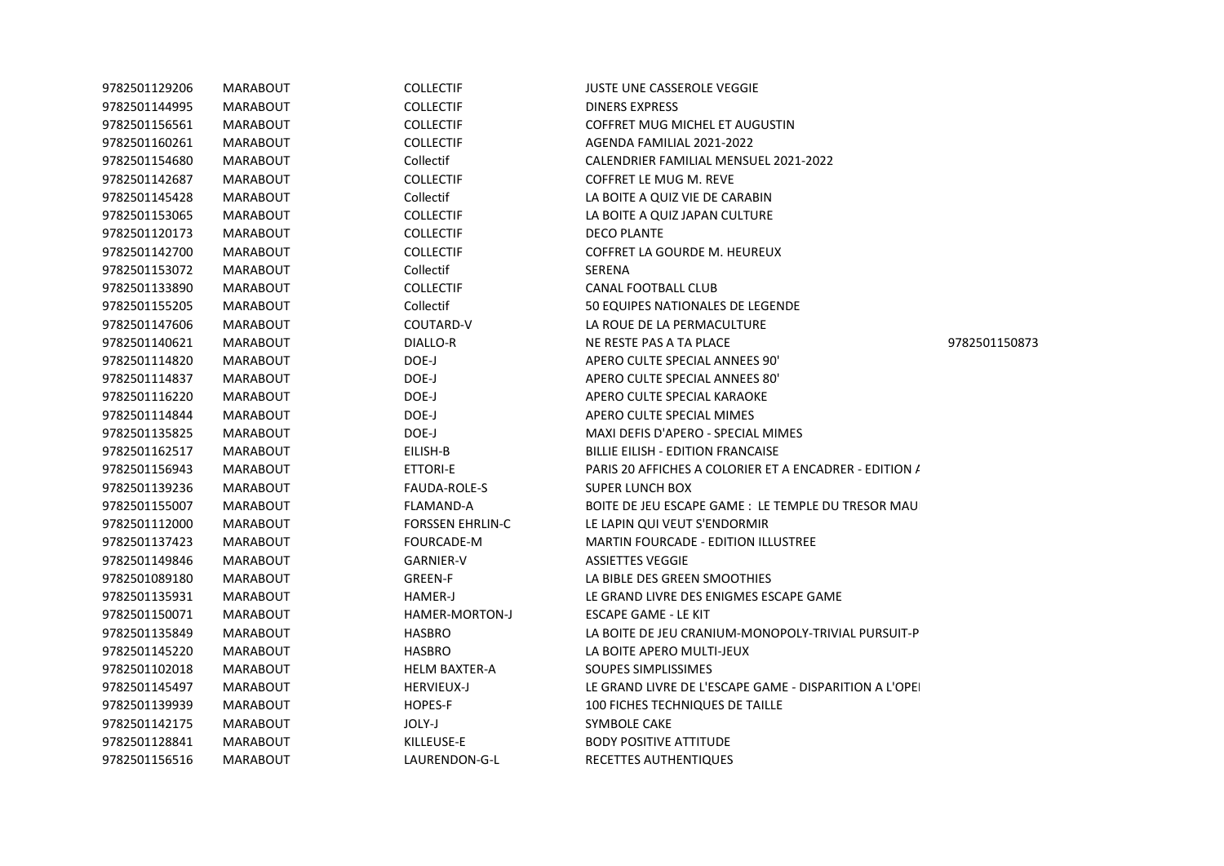| 9782501129206 | <b>MARABOUT</b> | <b>COLLECTIF</b>        | <b>JUSTE UNE CASSEROLE VEGGIE</b>                      |               |
|---------------|-----------------|-------------------------|--------------------------------------------------------|---------------|
| 9782501144995 | <b>MARABOUT</b> | <b>COLLECTIF</b>        | <b>DINERS EXPRESS</b>                                  |               |
| 9782501156561 | MARABOUT        | <b>COLLECTIF</b>        | COFFRET MUG MICHEL ET AUGUSTIN                         |               |
| 9782501160261 | MARABOUT        | <b>COLLECTIF</b>        | AGENDA FAMILIAL 2021-2022                              |               |
| 9782501154680 | MARABOUT        | Collectif               | CALENDRIER FAMILIAL MENSUEL 2021-2022                  |               |
| 9782501142687 | <b>MARABOUT</b> | <b>COLLECTIF</b>        | <b>COFFRET LE MUG M. REVE</b>                          |               |
| 9782501145428 | MARABOUT        | Collectif               | LA BOITE A QUIZ VIE DE CARABIN                         |               |
| 9782501153065 | MARABOUT        | <b>COLLECTIF</b>        | LA BOITE A QUIZ JAPAN CULTURE                          |               |
| 9782501120173 | <b>MARABOUT</b> | <b>COLLECTIF</b>        | <b>DECO PLANTE</b>                                     |               |
| 9782501142700 | MARABOUT        | <b>COLLECTIF</b>        | COFFRET LA GOURDE M. HEUREUX                           |               |
| 9782501153072 | MARABOUT        | Collectif               | SERENA                                                 |               |
| 9782501133890 | <b>MARABOUT</b> | <b>COLLECTIF</b>        | <b>CANAL FOOTBALL CLUB</b>                             |               |
| 9782501155205 | MARABOUT        | Collectif               | 50 EQUIPES NATIONALES DE LEGENDE                       |               |
| 9782501147606 | MARABOUT        | COUTARD-V               | LA ROUE DE LA PERMACULTURE                             |               |
| 9782501140621 | <b>MARABOUT</b> | <b>DIALLO-R</b>         | NE RESTE PAS A TA PLACE                                | 9782501150873 |
| 9782501114820 | MARABOUT        | DOE-J                   | APERO CULTE SPECIAL ANNEES 90'                         |               |
| 9782501114837 | MARABOUT        | DOE-J                   | APERO CULTE SPECIAL ANNEES 80'                         |               |
| 9782501116220 | <b>MARABOUT</b> | DOE-J                   | APERO CULTE SPECIAL KARAOKE                            |               |
| 9782501114844 | <b>MARABOUT</b> | DOE-J                   | APERO CULTE SPECIAL MIMES                              |               |
| 9782501135825 | MARABOUT        | DOE-J                   | MAXI DEFIS D'APERO - SPECIAL MIMES                     |               |
| 9782501162517 | MARABOUT        | EILISH-B                | <b>BILLIE EILISH - EDITION FRANCAISE</b>               |               |
| 9782501156943 | <b>MARABOUT</b> | <b>ETTORI-E</b>         | PARIS 20 AFFICHES A COLORIER ET A ENCADRER - EDITION / |               |
| 9782501139236 | MARABOUT        | FAUDA-ROLE-S            | <b>SUPER LUNCH BOX</b>                                 |               |
| 9782501155007 | MARABOUT        | FLAMAND-A               | BOITE DE JEU ESCAPE GAME : LE TEMPLE DU TRESOR MAU     |               |
| 9782501112000 | <b>MARABOUT</b> | <b>FORSSEN EHRLIN-C</b> | LE LAPIN QUI VEUT S'ENDORMIR                           |               |
| 9782501137423 | MARABOUT        | FOURCADE-M              | <b>MARTIN FOURCADE - EDITION ILLUSTREE</b>             |               |
| 9782501149846 | MARABOUT        | GARNIER-V               | ASSIETTES VEGGIE                                       |               |
| 9782501089180 | MARABOUT        | GREEN-F                 | LA BIBLE DES GREEN SMOOTHIES                           |               |
| 9782501135931 | MARABOUT        | HAMER-J                 | LE GRAND LIVRE DES ENIGMES ESCAPE GAME                 |               |
| 9782501150071 | <b>MARABOUT</b> | HAMER-MORTON-J          | ESCAPE GAME - LE KIT                                   |               |
| 9782501135849 | MARABOUT        | <b>HASBRO</b>           | LA BOITE DE JEU CRANIUM-MONOPOLY-TRIVIAL PURSUIT-P     |               |
| 9782501145220 | MARABOUT        | <b>HASBRO</b>           | LA BOITE APERO MULTI-JEUX                              |               |
| 9782501102018 | MARABOUT        | <b>HELM BAXTER-A</b>    | SOUPES SIMPLISSIMES                                    |               |
| 9782501145497 | MARABOUT        | <b>HERVIEUX-J</b>       | LE GRAND LIVRE DE L'ESCAPE GAME - DISPARITION A L'OPEI |               |
| 9782501139939 | MARABOUT        | HOPES-F                 | 100 FICHES TECHNIQUES DE TAILLE                        |               |
| 9782501142175 | MARABOUT        | JOLY-J                  | SYMBOLE CAKE                                           |               |
| 9782501128841 | <b>MARABOUT</b> | KILLEUSE-E              | <b>BODY POSITIVE ATTITUDE</b>                          |               |
| 9782501156516 | <b>MARABOUT</b> | LAURENDON-G-L           | RECETTES AUTHENTIQUES                                  |               |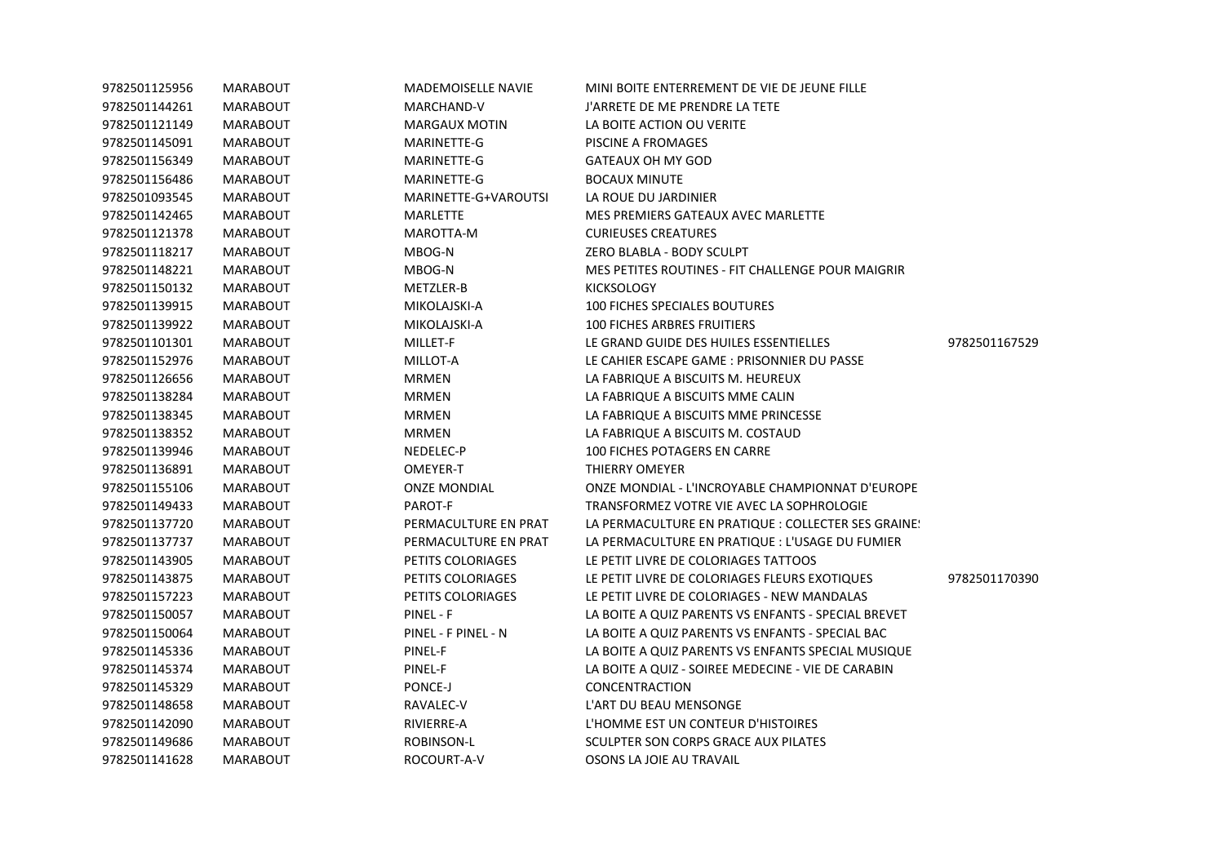| 9782501125956 | <b>MARABOUT</b> | <b>MADEMOISELLE NAVIE</b> | MINI BOITE ENTERREMENT DE VIE DE JEUNE FILLE        |               |
|---------------|-----------------|---------------------------|-----------------------------------------------------|---------------|
| 9782501144261 | <b>MARABOUT</b> | MARCHAND-V                | J'ARRETE DE ME PRENDRE LA TETE                      |               |
| 9782501121149 | MARABOUT        | <b>MARGAUX MOTIN</b>      | LA BOITE ACTION OU VERITE                           |               |
| 9782501145091 | MARABOUT        | MARINETTE-G               | PISCINE A FROMAGES                                  |               |
| 9782501156349 | <b>MARABOUT</b> | MARINETTE-G               | GATEAUX OH MY GOD                                   |               |
| 9782501156486 | <b>MARABOUT</b> | MARINETTE-G               | <b>BOCAUX MINUTE</b>                                |               |
| 9782501093545 | MARABOUT        | MARINETTE-G+VAROUTSI      | LA ROUE DU JARDINIER                                |               |
| 9782501142465 | <b>MARABOUT</b> | MARLETTE                  | MES PREMIERS GATEAUX AVEC MARLETTE                  |               |
| 9782501121378 | MARABOUT        | MAROTTA-M                 | <b>CURIEUSES CREATURES</b>                          |               |
| 9782501118217 | <b>MARABOUT</b> | MBOG-N                    | ZERO BLABLA - BODY SCULPT                           |               |
| 9782501148221 | MARABOUT        | MBOG-N                    | MES PETITES ROUTINES - FIT CHALLENGE POUR MAIGRIR   |               |
| 9782501150132 | <b>MARABOUT</b> | METZLER-B                 | <b>KICKSOLOGY</b>                                   |               |
| 9782501139915 | <b>MARABOUT</b> | MIKOLAJSKI-A              | <b>100 FICHES SPECIALES BOUTURES</b>                |               |
| 9782501139922 | <b>MARABOUT</b> | MIKOLAJSKI-A              | <b>100 FICHES ARBRES FRUITIERS</b>                  |               |
| 9782501101301 | <b>MARABOUT</b> | MILLET-F                  | LE GRAND GUIDE DES HUILES ESSENTIELLES              | 9782501167529 |
| 9782501152976 | <b>MARABOUT</b> | MILLOT-A                  | LE CAHIER ESCAPE GAME : PRISONNIER DU PASSE         |               |
| 9782501126656 | <b>MARABOUT</b> | <b>MRMEN</b>              | LA FABRIQUE A BISCUITS M. HEUREUX                   |               |
| 9782501138284 | <b>MARABOUT</b> | <b>MRMEN</b>              | LA FABRIQUE A BISCUITS MME CALIN                    |               |
| 9782501138345 | MARABOUT        | <b>MRMEN</b>              | LA FABRIQUE A BISCUITS MME PRINCESSE                |               |
| 9782501138352 | <b>MARABOUT</b> | <b>MRMEN</b>              | LA FABRIQUE A BISCUITS M. COSTAUD                   |               |
| 9782501139946 | <b>MARABOUT</b> | NEDELEC-P                 | 100 FICHES POTAGERS EN CARRE                        |               |
| 9782501136891 | <b>MARABOUT</b> | OMEYER-T                  | <b>THIERRY OMEYER</b>                               |               |
| 9782501155106 | <b>MARABOUT</b> | <b>ONZE MONDIAL</b>       | ONZE MONDIAL - L'INCROYABLE CHAMPIONNAT D'EUROPE    |               |
| 9782501149433 | <b>MARABOUT</b> | PAROT-F                   | TRANSFORMEZ VOTRE VIE AVEC LA SOPHROLOGIE           |               |
| 9782501137720 | <b>MARABOUT</b> | PERMACULTURE EN PRAT      | LA PERMACULTURE EN PRATIQUE : COLLECTER SES GRAINE! |               |
| 9782501137737 | <b>MARABOUT</b> | PERMACULTURE EN PRAT      | LA PERMACULTURE EN PRATIQUE : L'USAGE DU FUMIER     |               |
| 9782501143905 | <b>MARABOUT</b> | PETITS COLORIAGES         | LE PETIT LIVRE DE COLORIAGES TATTOOS                |               |
| 9782501143875 | <b>MARABOUT</b> | PETITS COLORIAGES         | LE PETIT LIVRE DE COLORIAGES FLEURS EXOTIQUES       | 9782501170390 |
| 9782501157223 | <b>MARABOUT</b> | PETITS COLORIAGES         | LE PETIT LIVRE DE COLORIAGES - NEW MANDALAS         |               |
| 9782501150057 | <b>MARABOUT</b> | PINEL - F                 | LA BOITE A QUIZ PARENTS VS ENFANTS - SPECIAL BREVET |               |
| 9782501150064 | MARABOUT        | PINEL - F PINEL - N       | LA BOITE A QUIZ PARENTS VS ENFANTS - SPECIAL BAC    |               |
| 9782501145336 | <b>MARABOUT</b> | PINEL-F                   | LA BOITE A QUIZ PARENTS VS ENFANTS SPECIAL MUSIQUE  |               |
| 9782501145374 | <b>MARABOUT</b> | PINEL-F                   | LA BOITE A QUIZ - SOIREE MEDECINE - VIE DE CARABIN  |               |
| 9782501145329 | MARABOUT        | PONCE-J                   | <b>CONCENTRACTION</b>                               |               |
| 9782501148658 | <b>MARABOUT</b> | RAVALEC-V                 | L'ART DU BEAU MENSONGE                              |               |
| 9782501142090 | <b>MARABOUT</b> | RIVIERRE-A                | L'HOMME EST UN CONTEUR D'HISTOIRES                  |               |
| 9782501149686 | <b>MARABOUT</b> | ROBINSON-L                | SCULPTER SON CORPS GRACE AUX PILATES                |               |
| 9782501141628 | <b>MARABOUT</b> | ROCOURT-A-V               | OSONS LA JOIE AU TRAVAIL                            |               |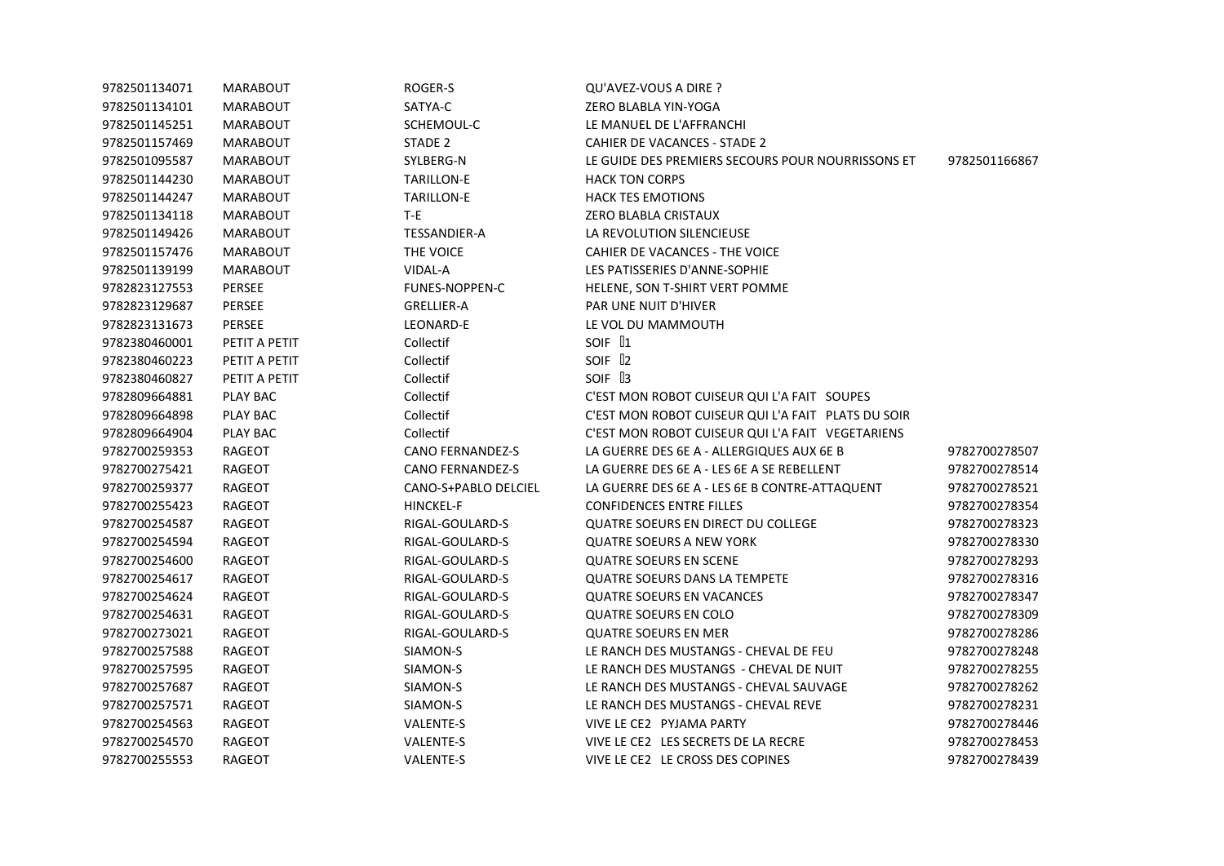| 9782501134071 | MARABOUT        | ROGER-S                 | QU'AVEZ-VOUS A DIRE ?                              |               |
|---------------|-----------------|-------------------------|----------------------------------------------------|---------------|
| 9782501134101 | <b>MARABOUT</b> | SATYA-C                 | ZERO BLABLA YIN-YOGA                               |               |
| 9782501145251 | <b>MARABOUT</b> | SCHEMOUL-C              | LE MANUEL DE L'AFFRANCHI                           |               |
| 9782501157469 | MARABOUT        | STADE 2                 | <b>CAHIER DE VACANCES - STADE 2</b>                |               |
| 9782501095587 | MARABOUT        | SYLBERG-N               | LE GUIDE DES PREMIERS SECOURS POUR NOURRISSONS ET  | 9782501166867 |
| 9782501144230 | MARABOUT        | <b>TARILLON-E</b>       | <b>HACK TON CORPS</b>                              |               |
| 9782501144247 | MARABOUT        | <b>TARILLON-E</b>       | <b>HACK TES EMOTIONS</b>                           |               |
| 9782501134118 | MARABOUT        | T-E                     | ZERO BLABLA CRISTAUX                               |               |
| 9782501149426 | <b>MARABOUT</b> | TESSANDIER-A            | LA REVOLUTION SILENCIEUSE                          |               |
| 9782501157476 | MARABOUT        | THE VOICE               | CAHIER DE VACANCES - THE VOICE                     |               |
| 9782501139199 | <b>MARABOUT</b> | VIDAL-A                 | LES PATISSERIES D'ANNE-SOPHIE                      |               |
| 9782823127553 | <b>PERSEE</b>   | FUNES-NOPPEN-C          | HELENE, SON T-SHIRT VERT POMME                     |               |
| 9782823129687 | <b>PERSEE</b>   | <b>GRELLIER-A</b>       | PAR UNE NUIT D'HIVER                               |               |
| 9782823131673 | <b>PERSEE</b>   | LEONARD-E               | LE VOL DU MAMMOUTH                                 |               |
| 9782380460001 | PETIT A PETIT   | Collectif               | SOIF <sup>[1</sup>                                 |               |
| 9782380460223 | PETIT A PETIT   | Collectif               | SOIF 12                                            |               |
| 9782380460827 | PETIT A PETIT   | Collectif               | SOIF 13                                            |               |
| 9782809664881 | PLAY BAC        | Collectif               | C'EST MON ROBOT CUISEUR QUI L'A FAIT SOUPES        |               |
| 9782809664898 | PLAY BAC        | Collectif               | C'EST MON ROBOT CUISEUR QUI L'A FAIT PLATS DU SOIR |               |
| 9782809664904 | PLAY BAC        | Collectif               | C'EST MON ROBOT CUISEUR QUI L'A FAIT VEGETARIENS   |               |
| 9782700259353 | RAGEOT          | <b>CANO FERNANDEZ-S</b> | LA GUERRE DES 6E A - ALLERGIQUES AUX 6E B          | 9782700278507 |
| 9782700275421 | RAGEOT          | <b>CANO FERNANDEZ-S</b> | LA GUERRE DES 6E A - LES 6E A SE REBELLENT         | 9782700278514 |
| 9782700259377 | RAGEOT          | CANO-S+PABLO DELCIEL    | LA GUERRE DES 6E A - LES 6E B CONTRE-ATTAQUENT     | 9782700278521 |
| 9782700255423 | RAGEOT          | <b>HINCKEL-F</b>        | <b>CONFIDENCES ENTRE FILLES</b>                    | 9782700278354 |
| 9782700254587 | RAGEOT          | RIGAL-GOULARD-S         | QUATRE SOEURS EN DIRECT DU COLLEGE                 | 9782700278323 |
| 9782700254594 | RAGEOT          | RIGAL-GOULARD-S         | <b>QUATRE SOEURS A NEW YORK</b>                    | 9782700278330 |
| 9782700254600 | RAGEOT          | RIGAL-GOULARD-S         | <b>QUATRE SOEURS EN SCENE</b>                      | 9782700278293 |
| 9782700254617 | RAGEOT          | RIGAL-GOULARD-S         | <b>QUATRE SOEURS DANS LA TEMPETE</b>               | 9782700278316 |
| 9782700254624 | RAGEOT          | RIGAL-GOULARD-S         | <b>QUATRE SOEURS EN VACANCES</b>                   | 9782700278347 |
| 9782700254631 | RAGEOT          | RIGAL-GOULARD-S         | <b>QUATRE SOEURS EN COLO</b>                       | 9782700278309 |
| 9782700273021 | RAGEOT          | RIGAL-GOULARD-S         | <b>QUATRE SOEURS EN MER</b>                        | 9782700278286 |
| 9782700257588 | RAGEOT          | SIAMON-S                | LE RANCH DES MUSTANGS - CHEVAL DE FEU              | 9782700278248 |
| 9782700257595 | RAGEOT          | SIAMON-S                | LE RANCH DES MUSTANGS - CHEVAL DE NUIT             | 9782700278255 |
| 9782700257687 | RAGEOT          | SIAMON-S                | LE RANCH DES MUSTANGS - CHEVAL SAUVAGE             | 9782700278262 |
| 9782700257571 | RAGEOT          | SIAMON-S                | LE RANCH DES MUSTANGS - CHEVAL REVE                | 9782700278231 |
| 9782700254563 | RAGEOT          | VALENTE-S               | VIVE LE CE2 PYJAMA PARTY                           | 9782700278446 |
| 9782700254570 | RAGEOT          | VALENTE-S               | VIVE LE CE2 LES SECRETS DE LA RECRE                | 9782700278453 |
| 9782700255553 | RAGEOT          | <b>VALENTE-S</b>        | VIVE LE CE2 LE CROSS DES COPINES                   | 9782700278439 |